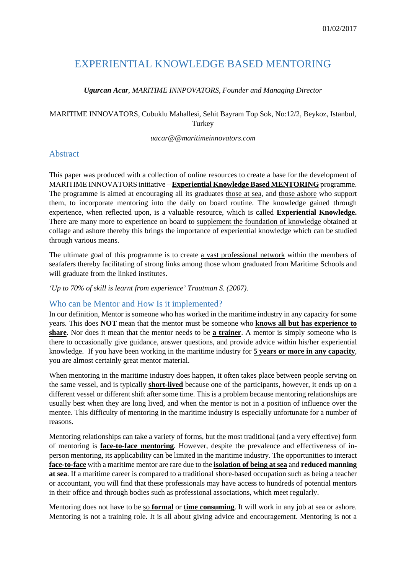# EXPERIENTIAL KNOWLEDGE BASED MENTORING

#### *Ugurcan Acar, MARITIME INNPOVATORS, Founder and Managing Director*

#### MARITIME INNOVATORS, Cubuklu Mahallesi, Sehit Bayram Top Sok, No:12/2, Beykoz, Istanbul, Turkey

#### *uacar@@maritimeinnovators.com*

#### Abstract

This paper was produced with a collection of online resources to create a base for the development of MARITIME INNOVATORS initiative – **Experiential Knowledge Based MENTORING** programme. The programme is aimed at encouraging all its graduates those at sea, and those ashore who support them, to incorporate mentoring into the daily on board routine. The knowledge gained through experience, when reflected upon, is a valuable resource, which is called **Experiential Knowledge.**  There are many more to experience on board to supplement the foundation of knowledge obtained at collage and ashore thereby this brings the importance of experiential knowledge which can be studied through various means.

The ultimate goal of this programme is to create a vast professional network within the members of seafafers thereby facilitating of strong links among those whom graduated from Maritime Schools and will graduate from the linked institutes.

#### *'Up to 70% of skill is learnt from experience' Trautman S. (2007).*

#### Who can be Mentor and How Is it implemented?

In our definition, Mentor is someone who has worked in the maritime industry in any capacity for some years. This does **NOT** mean that the mentor must be someone who **knows all but has experience to share**. Nor does it mean that the mentor needs to be **a trainer**. A mentor is simply someone who is there to occasionally give guidance, answer questions, and provide advice within his/her experiential knowledge. If you have been working in the maritime industry for **5 years or more in any capacity**, you are almost certainly great mentor material.

When mentoring in the maritime industry does happen, it often takes place between people serving on the same vessel, and is typically **short-lived** because one of the participants, however, it ends up on a different vessel or different shift after some time. This is a problem because mentoring relationships are usually best when they are long lived, and when the mentor is not in a position of influence over the mentee. This difficulty of mentoring in the maritime industry is especially unfortunate for a number of reasons.

Mentoring relationships can take a variety of forms, but the most traditional (and a very effective) form of mentoring is **face-to-face mentoring**. However, despite the prevalence and effectiveness of inperson mentoring, its applicability can be limited in the maritime industry. The opportunities to interact **face-to-face** with a maritime mentor are rare due to the **isolation of being at sea** and **reduced manning at sea**. If a maritime career is compared to a traditional shore-based occupation such as being a teacher or accountant, you will find that these professionals may have access to hundreds of potential mentors in their office and through bodies such as professional associations, which meet regularly.

Mentoring does not have to be so **formal** or **time consuming**. It will work in any job at sea or ashore. Mentoring is not a training role. It is all about giving advice and encouragement. Mentoring is not a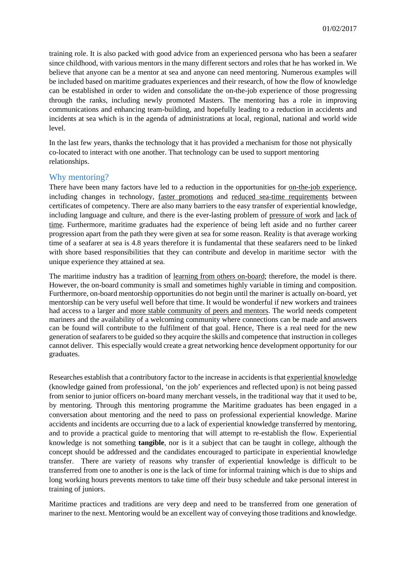training role. It is also packed with good advice from an experienced persona who has been a seafarer since childhood, with various mentors in the many different sectors and roles that he has worked in. We believe that anyone can be a mentor at sea and anyone can need mentoring. Numerous examples will be included based on maritime graduates experiences and their research, of how the flow of knowledge can be established in order to widen and consolidate the on-the-job experience of those progressing through the ranks, including newly promoted Masters. The mentoring has a role in improving communications and enhancing team-building, and hopefully leading to a reduction in accidents and incidents at sea which is in the agenda of administrations at local, regional, national and world wide level.

In the last few years, thanks the technology that it has provided a mechanism for those not physically co-located to interact with one another. That technology can be used to support mentoring relationships.

#### Why mentoring?

There have been many factors have led to a reduction in the opportunities for on-the-job experience, including changes in technology, faster promotions and reduced sea-time requirements between certificates of competency. There are also many barriers to the easy transfer of experiential knowledge, including language and culture, and there is the ever-lasting problem of pressure of work and lack of time. Furthermore, maritime graduates had the experience of being left aside and no further career progression apart from the path they were given at sea for some reason. Reality is that average working time of a seafarer at sea is 4.8 years therefore it is fundamental that these seafarers need to be linked with shore based responsibilities that they can contribute and develop in maritime sector with the unique experience they attained at sea.

The maritime industry has a tradition of learning from others on-board; therefore, the model is there. However, the on-board community is small and sometimes highly variable in timing and composition. Furthermore, on-board mentorship opportunities do not begin until the mariner is actually on-board, yet mentorship can be very useful well before that time. It would be wonderful if new workers and trainees had access to a larger and more stable community of peers and mentors. The world needs competent mariners and the availability of a welcoming community where connections can be made and answers can be found will contribute to the fulfilment of that goal. Hence, There is a real need for the new generation of seafarers to be guided so they acquire the skills and competence that instruction in colleges cannot deliver. This especially would create a great networking hence development opportunity for our graduates.

Researches establish that a contributory factor to the increase in accidents is that experiential knowledge (knowledge gained from professional, 'on the job' experiences and reflected upon) is not being passed from senior to junior officers on-board many merchant vessels, in the traditional way that it used to be, by mentoring. Through this mentoring programme the Maritime graduates has been engaged in a conversation about mentoring and the need to pass on professional experiential knowledge. Marine accidents and incidents are occurring due to a lack of experiential knowledge transferred by mentoring, and to provide a practical guide to mentoring that will attempt to re-establish the flow. Experiential knowledge is not something **tangible**, nor is it a subject that can be taught in college, although the concept should be addressed and the candidates encouraged to participate in experiential knowledge transfer. There are variety of reasons why transfer of experiential knowledge is difficult to be transferred from one to another is one is the lack of time for informal training which is due to ships and long working hours prevents mentors to take time off their busy schedule and take personal interest in training of juniors.

Maritime practices and traditions are very deep and need to be transferred from one generation of mariner to the next. Mentoring would be an excellent way of conveying those traditions and knowledge.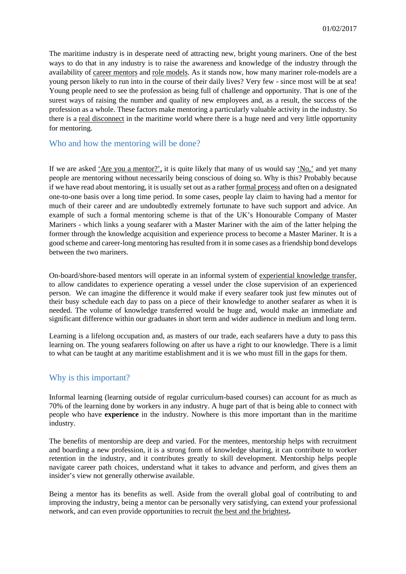The maritime industry is in desperate need of attracting new, bright young mariners. One of the best ways to do that in any industry is to raise the awareness and knowledge of the industry through the availability of career mentors and role models. As it stands now, how many mariner role-models are a young person likely to run into in the course of their daily lives? Very few - since most will be at sea! Young people need to see the profession as being full of challenge and opportunity. That is one of the surest ways of raising the number and quality of new employees and, as a result, the success of the profession as a whole. These factors make mentoring a particularly valuable activity in the industry. So there is a real disconnect in the maritime world where there is a huge need and very little opportunity for mentoring.

#### Who and how the mentoring will be done?

If we are asked 'Are you a mentor?', it is quite likely that many of us would say 'No,' and yet many people are mentoring without necessarily being conscious of doing so. Why is this? Probably because if we have read about mentoring, it is usually set out as a rather formal process and often on a designated one-to-one basis over a long time period. In some cases, people lay claim to having had a mentor for much of their career and are undoubtedly extremely fortunate to have such support and advice. An example of such a formal mentoring scheme is that of the UK's Honourable Company of Master Mariners - which links a young seafarer with a Master Mariner with the aim of the latter helping the former through the knowledge acquisition and experience process to become a Master Mariner. It is a good scheme and career-long mentoring has resulted from it in some cases as a friendship bond develops between the two mariners.

On-board/shore-based mentors will operate in an informal system of experiential knowledge transfer, to allow candidates to experience operating a vessel under the close supervision of an experienced person. We can imagine the difference it would make if every seafarer took just few minutes out of their busy schedule each day to pass on a piece of their knowledge to another seafarer as when it is needed. The volume of knowledge transferred would be huge and, would make an immediate and significant difference within our graduates in short term and wider audience in medium and long term.

Learning is a lifelong occupation and, as masters of our trade, each seafarers have a duty to pass this learning on. The young seafarers following on after us have a right to our knowledge. There is a limit to what can be taught at any maritime establishment and it is we who must fill in the gaps for them.

## Why is this important?

Informal learning (learning outside of regular curriculum-based courses) can account for as much as 70% of the learning done by workers in any industry. A huge part of that is being able to connect with people who have **experience** in the industry. Nowhere is this more important than in the maritime industry.

The benefits of mentorship are deep and varied. For the mentees, mentorship helps with recruitment and boarding a new profession, it is a strong form of knowledge sharing, it can contribute to worker retention in the industry, and it contributes greatly to skill development. Mentorship helps people navigate career path choices, understand what it takes to advance and perform, and gives them an insider's view not generally otherwise available.

Being a mentor has its benefits as well. Aside from the overall global goal of contributing to and improving the industry, being a mentor can be personally very satisfying, can extend your professional network, and can even provide opportunities to recruit the best and the brightest**.**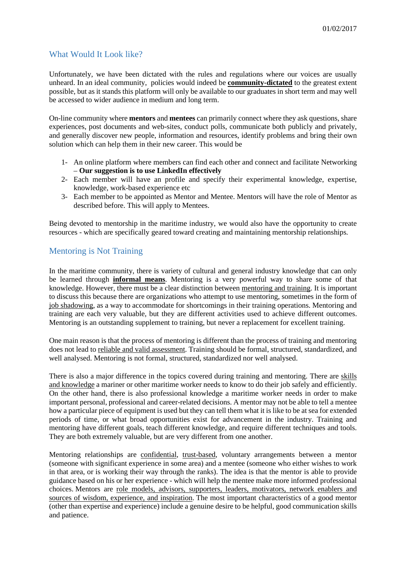## What Would It Look like?

Unfortunately, we have been dictated with the rules and regulations where our voices are usually unheard. In an ideal community, policies would indeed be **community-dictated** to the greatest extent possible, but as it stands this platform will only be available to our graduates in short term and may well be accessed to wider audience in medium and long term.

On-line community where **mentors** and **mentees** can primarily connect where they ask questions, share experiences, post documents and web-sites, conduct polls, communicate both publicly and privately, and generally discover new people, information and resources, identify problems and bring their own solution which can help them in their new career. This would be

- 1- An online platform where members can find each other and connect and facilitate Networking – **Our suggestion is to use LinkedIn effectively**
- 2- Each member will have an profile and specify their experimental knowledge, expertise, knowledge, work-based experience etc
- 3- Each member to be appointed as Mentor and Mentee. Mentors will have the role of Mentor as described before. This will apply to Mentees.

Being devoted to mentorship in the maritime industry, we would also have the opportunity to create resources - which are specifically geared toward creating and maintaining mentorship relationships.

## Mentoring is Not Training

In the maritime community, there is variety of cultural and general industry knowledge that can only be learned through **informal means**. Mentoring is a very powerful way to share some of that knowledge. However, there must be a clear distinction between mentoring and training. It is important to discuss this because there are organizations who attempt to use mentoring, sometimes in the form of job shadowing, as a way to accommodate for shortcomings in their training operations. Mentoring and training are each very valuable, but they are different activities used to achieve different outcomes. Mentoring is an outstanding supplement to training, but never a replacement for excellent training.

One main reason is that the process of mentoring is different than the process of training and mentoring does not lead to reliable and valid assessment. Training should be formal, structured, standardized, and well analysed. Mentoring is not formal, structured, standardized nor well analysed.

There is also a major difference in the topics covered during training and mentoring. There are skills and knowledge a mariner or other maritime worker needs to know to do their job safely and efficiently. On the other hand, there is also professional knowledge a maritime worker needs in order to make important personal, professional and career-related decisions. A mentor may not be able to tell a mentee how a particular piece of equipment is used but they can tell them what it is like to be at sea for extended periods of time, or what broad opportunities exist for advancement in the industry. Training and mentoring have different goals, teach different knowledge, and require different techniques and tools. They are both extremely valuable, but are very different from one another.

Mentoring relationships are confidential, trust-based, voluntary arrangements between a mentor (someone with significant experience in some area) and a mentee (someone who either wishes to work in that area, or is working their way through the ranks). The idea is that the mentor is able to provide guidance based on his or her experience - which will help the mentee make more informed professional choices. Mentors are role models, advisors, supporters, leaders, motivators, network enablers and sources of wisdom, experience, and inspiration. The most important characteristics of a good mentor (other than expertise and experience) include a genuine desire to be helpful, good communication skills and patience.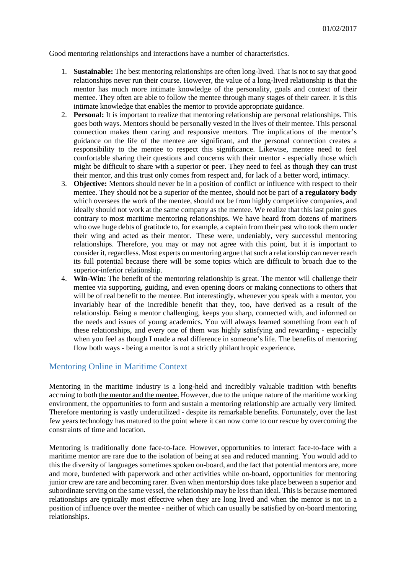Good mentoring relationships and interactions have a number of characteristics.

- 1. **Sustainable:** The best mentoring relationships are often long-lived. That is not to say that good relationships never run their course. However, the value of a long-lived relationship is that the mentor has much more intimate knowledge of the personality, goals and context of their mentee. They often are able to follow the mentee through many stages of their career. It is this intimate knowledge that enables the mentor to provide appropriate guidance.
- 2. **Personal:** It is important to realize that mentoring relationship are personal relationships. This goes both ways. Mentors should be personally vested in the lives of their mentee. This personal connection makes them caring and responsive mentors. The implications of the mentor's guidance on the life of the mentee are significant, and the personal connection creates a responsibility to the mentee to respect this significance. Likewise, mentee need to feel comfortable sharing their questions and concerns with their mentor - especially those which might be difficult to share with a superior or peer. They need to feel as though they can trust their mentor, and this trust only comes from respect and, for lack of a better word, intimacy.
- 3. **Objective:** Mentors should never be in a position of conflict or influence with respect to their mentee. They should not be a superior of the mentee, should not be part of **a regulatory body** which oversees the work of the mentee, should not be from highly competitive companies, and ideally should not work at the same company as the mentee. We realize that this last point goes contrary to most maritime mentoring relationships. We have heard from dozens of mariners who owe huge debts of gratitude to, for example, a captain from their past who took them under their wing and acted as their mentor. These were, undeniably, very successful mentoring relationships. Therefore, you may or may not agree with this point, but it is important to consider it, regardless. Most experts on mentoring argue that such a relationship can never reach its full potential because there will be some topics which are difficult to broach due to the superior-inferior relationship.
- 4. **Win-Win:** The benefit of the mentoring relationship is great. The mentor will challenge their mentee via supporting, guiding, and even opening doors or making connections to others that will be of real benefit to the mentee. But interestingly, whenever you speak with a mentor, you invariably hear of the incredible benefit that they, too, have derived as a result of the relationship. Being a mentor challenging, keeps you sharp, connected with, and informed on the needs and issues of young academics. You will always learned something from each of these relationships, and every one of them was highly satisfying and rewarding - especially when you feel as though I made a real difference in someone's life. The benefits of mentoring flow both ways - being a mentor is not a strictly philanthropic experience.

## Mentoring Online in Maritime Context

Mentoring in the maritime industry is a long-held and incredibly valuable tradition with benefits accruing to both the mentor and the mentee. However, due to the unique nature of the maritime working environment, the opportunities to form and sustain a mentoring relationship are actually very limited. Therefore mentoring is vastly underutilized - despite its remarkable benefits. Fortunately, over the last few years technology has matured to the point where it can now come to our rescue by overcoming the constraints of time and location.

Mentoring is traditionally done face-to-face. However, opportunities to interact face-to-face with a maritime mentor are rare due to the isolation of being at sea and reduced manning. You would add to this the diversity of languages sometimes spoken on-board, and the fact that potential mentors are, more and more, burdened with paperwork and other activities while on-board, opportunities for mentoring junior crew are rare and becoming rarer. Even when mentorship does take place between a superior and subordinate serving on the same vessel, the relationship may be less than ideal. This is because mentored relationships are typically most effective when they are long lived and when the mentor is not in a position of influence over the mentee - neither of which can usually be satisfied by on-board mentoring relationships.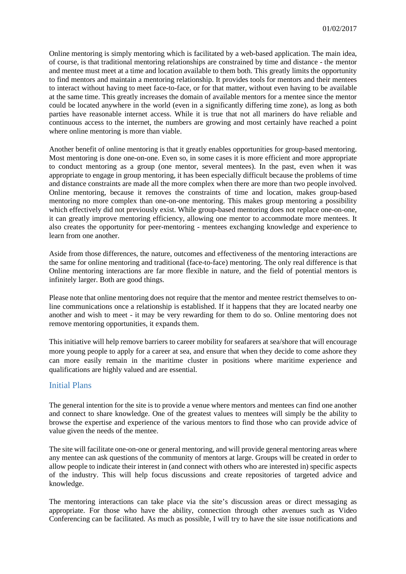Online mentoring is simply mentoring which is facilitated by a web-based application. The main idea, of course, is that traditional mentoring relationships are constrained by time and distance - the mentor and mentee must meet at a time and location available to them both. This greatly limits the opportunity to find mentors and maintain a mentoring relationship. It provides tools for mentors and their mentees to interact without having to meet face-to-face, or for that matter, without even having to be available at the same time. This greatly increases the domain of available mentors for a mentee since the mentor could be located anywhere in the world (even in a significantly differing time zone), as long as both parties have reasonable internet access. While it is true that not all mariners do have reliable and continuous access to the internet, the numbers are growing and most certainly have reached a point where online mentoring is more than viable.

Another benefit of online mentoring is that it greatly enables opportunities for group-based mentoring. Most mentoring is done one-on-one. Even so, in some cases it is more efficient and more appropriate to conduct mentoring as a group (one mentor, several mentees). In the past, even when it was appropriate to engage in group mentoring, it has been especially difficult because the problems of time and distance constraints are made all the more complex when there are more than two people involved. Online mentoring, because it removes the constraints of time and location, makes group-based mentoring no more complex than one-on-one mentoring. This makes group mentoring a possibility which effectively did not previously exist. While group-based mentoring does not replace one-on-one, it can greatly improve mentoring efficiency, allowing one mentor to accommodate more mentees. It also creates the opportunity for peer-mentoring - mentees exchanging knowledge and experience to learn from one another.

Aside from those differences, the nature, outcomes and effectiveness of the mentoring interactions are the same for online mentoring and traditional (face-to-face) mentoring. The only real difference is that Online mentoring interactions are far more flexible in nature, and the field of potential mentors is infinitely larger. Both are good things.

Please note that online mentoring does not require that the mentor and mentee restrict themselves to online communications once a relationship is established. If it happens that they are located nearby one another and wish to meet - it may be very rewarding for them to do so. Online mentoring does not remove mentoring opportunities, it expands them.

This initiative will help remove barriers to career mobility for seafarers at sea/shore that will encourage more young people to apply for a career at sea, and ensure that when they decide to come ashore they can more easily remain in the maritime cluster in positions where maritime experience and qualifications are highly valued and are essential.

#### Initial Plans

The general intention for the site is to provide a venue where mentors and mentees can find one another and connect to share knowledge. One of the greatest values to mentees will simply be the ability to browse the expertise and experience of the various mentors to find those who can provide advice of value given the needs of the mentee.

The site will facilitate one-on-one or general mentoring, and will provide general mentoring areas where any mentee can ask questions of the community of mentors at large. Groups will be created in order to allow people to indicate their interest in (and connect with others who are interested in) specific aspects of the industry. This will help focus discussions and create repositories of targeted advice and knowledge.

The mentoring interactions can take place via the site's discussion areas or direct messaging as appropriate. For those who have the ability, connection through other avenues such as Video Conferencing can be facilitated. As much as possible, I will try to have the site issue notifications and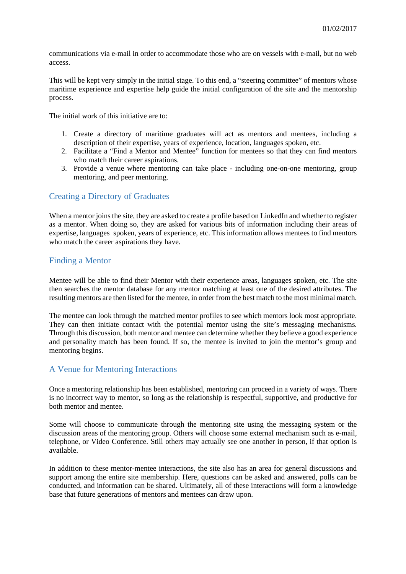communications via e-mail in order to accommodate those who are on vessels with e-mail, but no web access.

This will be kept very simply in the initial stage. To this end, a "steering committee" of mentors whose maritime experience and expertise help guide the initial configuration of the site and the mentorship process.

The initial work of this initiative are to:

- 1. Create a directory of maritime graduates will act as mentors and mentees, including a description of their expertise, years of experience, location, languages spoken, etc.
- 2. Facilitate a "Find a Mentor and Mentee" function for mentees so that they can find mentors who match their career aspirations.
- 3. Provide a venue where mentoring can take place including one-on-one mentoring, group mentoring, and peer mentoring.

#### Creating a Directory of Graduates

When a mentor joins the site, they are asked to create a profile based on LinkedIn and whether to register as a mentor. When doing so, they are asked for various bits of information including their areas of expertise, languages spoken, years of experience, etc. This information allows mentees to find mentors who match the career aspirations they have.

## Finding a Mentor

Mentee will be able to find their Mentor with their experience areas, languages spoken, etc. The site then searches the mentor database for any mentor matching at least one of the desired attributes. The resulting mentors are then listed for the mentee, in order from the best match to the most minimal match.

The mentee can look through the matched mentor profiles to see which mentors look most appropriate. They can then initiate contact with the potential mentor using the site's messaging mechanisms. Through this discussion, both mentor and mentee can determine whether they believe a good experience and personality match has been found. If so, the mentee is invited to join the mentor's group and mentoring begins.

#### A Venue for Mentoring Interactions

Once a mentoring relationship has been established, mentoring can proceed in a variety of ways. There is no incorrect way to mentor, so long as the relationship is respectful, supportive, and productive for both mentor and mentee.

Some will choose to communicate through the mentoring site using the messaging system or the discussion areas of the mentoring group. Others will choose some external mechanism such as e-mail, telephone, or Video Conference. Still others may actually see one another in person, if that option is available.

In addition to these mentor-mentee interactions, the site also has an area for general discussions and support among the entire site membership. Here, questions can be asked and answered, polls can be conducted, and information can be shared. Ultimately, all of these interactions will form a knowledge base that future generations of mentors and mentees can draw upon.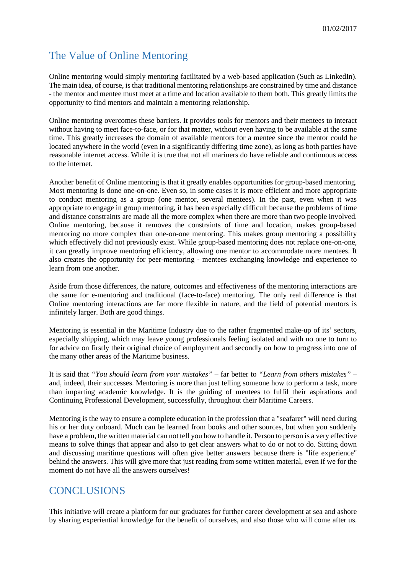# The Value of Online Mentoring

Online mentoring would simply mentoring facilitated by a web-based application (Such as LinkedIn). The main idea, of course, is that traditional mentoring relationships are constrained by time and distance - the mentor and mentee must meet at a time and location available to them both. This greatly limits the opportunity to find mentors and maintain a mentoring relationship.

Online mentoring overcomes these barriers. It provides tools for mentors and their mentees to interact without having to meet face-to-face, or for that matter, without even having to be available at the same time. This greatly increases the domain of available mentors for a mentee since the mentor could be located anywhere in the world (even in a significantly differing time zone), as long as both parties have reasonable internet access. While it is true that not all mariners do have reliable and continuous access to the internet.

Another benefit of Online mentoring is that it greatly enables opportunities for group-based mentoring. Most mentoring is done one-on-one. Even so, in some cases it is more efficient and more appropriate to conduct mentoring as a group (one mentor, several mentees). In the past, even when it was appropriate to engage in group mentoring, it has been especially difficult because the problems of time and distance constraints are made all the more complex when there are more than two people involved. Online mentoring, because it removes the constraints of time and location, makes group-based mentoring no more complex than one-on-one mentoring. This makes group mentoring a possibility which effectively did not previously exist. While group-based mentoring does not replace one-on-one, it can greatly improve mentoring efficiency, allowing one mentor to accommodate more mentees. It also creates the opportunity for peer-mentoring - mentees exchanging knowledge and experience to learn from one another.

Aside from those differences, the nature, outcomes and effectiveness of the mentoring interactions are the same for e-mentoring and traditional (face-to-face) mentoring. The only real difference is that Online mentoring interactions are far more flexible in nature, and the field of potential mentors is infinitely larger. Both are good things.

Mentoring is essential in the Maritime Industry due to the rather fragmented make-up of its' sectors, especially shipping, which may leave young professionals feeling isolated and with no one to turn to for advice on firstly their original choice of employment and secondly on how to progress into one of the many other areas of the Maritime business.

It is said that *"You should learn from your mistakes"* – far better to *"Learn from others mistakes" –* and, indeed, their successes. Mentoring is more than just telling someone how to perform a task, more than imparting academic knowledge. It is the guiding of mentees to fulfil their aspirations and Continuing Professional Development, successfully, throughout their Maritime Careers.

Mentoring is the way to ensure a complete education in the profession that a "seafarer" will need during his or her duty onboard. Much can be learned from books and other sources, but when you suddenly have a problem, the written material can not tell you how to handle it. Person to person is a very effective means to solve things that appear and also to get clear answers what to do or not to do. Sitting down and discussing maritime questions will often give better answers because there is "life experience" behind the answers. This will give more that just reading from some written material, even if we for the moment do not have all the answers ourselves!

## **CONCLUSIONS**

This initiative will create a platform for our graduates for further career development at sea and ashore by sharing experiential knowledge for the benefit of ourselves, and also those who will come after us.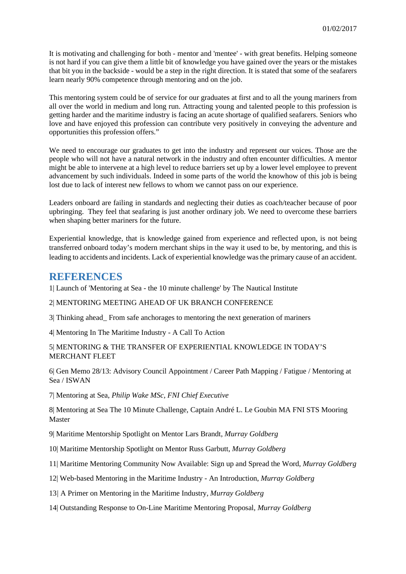It is motivating and challenging for both - mentor and 'mentee' - with great benefits. Helping someone is not hard if you can give them a little bit of knowledge you have gained over the years or the mistakes that bit you in the backside - would be a step in the right direction. It is stated that some of the seafarers learn nearly 90% competence through mentoring and on the job.

This mentoring system could be of service for our graduates at first and to all the young mariners from all over the world in medium and long run. Attracting young and talented people to this profession is getting harder and the maritime industry is facing an acute shortage of qualified seafarers. Seniors who love and have enjoyed this profession can contribute very positively in conveying the adventure and opportunities this profession offers."

We need to encourage our graduates to get into the industry and represent our voices. Those are the people who will not have a natural network in the industry and often encounter difficulties. A mentor might be able to intervene at a high level to reduce barriers set up by a lower level employee to prevent advancement by such individuals. Indeed in some parts of the world the knowhow of this job is being lost due to lack of interest new fellows to whom we cannot pass on our experience.

Leaders onboard are failing in standards and neglecting their duties as coach/teacher because of poor upbringing. They feel that seafaring is just another ordinary job. We need to overcome these barriers when shaping better mariners for the future.

Experiential knowledge, that is knowledge gained from experience and reflected upon, is not being transferred onboard today's modern merchant ships in the way it used to be, by mentoring, and this is leading to accidents and incidents. Lack of experiential knowledge was the primary cause of an accident.

## **REFERENCES**

1| Launch of 'Mentoring at Sea - the 10 minute challenge' by The Nautical Institute

#### 2| MENTORING MEETING AHEAD OF UK BRANCH CONFERENCE

3| Thinking ahead\_ From safe anchorages to mentoring the next generation of mariners

4| Mentoring In The Maritime Industry - A Call To Action

#### 5| MENTORING & THE TRANSFER OF EXPERIENTIAL KNOWLEDGE IN TODAY'S MERCHANT FLEET

6| Gen Memo 28/13: Advisory Council Appointment / Career Path Mapping / Fatigue / Mentoring at Sea / ISWAN

7| Mentoring at Sea, *Philip Wake MSc, FNI Chief Executive*

8| Mentoring at Sea The 10 Minute Challenge, Captain André L. Le Goubin MA FNI STS Mooring Master

9| Maritime Mentorship Spotlight on Mentor Lars Brandt, *Murray Goldberg*

10| Maritime Mentorship Spotlight on Mentor Russ Garbutt, *Murray Goldberg*

11| Maritime Mentoring Community Now Available: Sign up and Spread the Word, *Murray Goldberg*

12| Web-based Mentoring in the Maritime Industry - An Introduction, *Murray Goldberg*

13*|* A Primer on Mentoring in the Maritime Industry, *Murray Goldberg*

14| Outstanding Response to On-Line Maritime Mentoring Proposal, *Murray Goldberg*